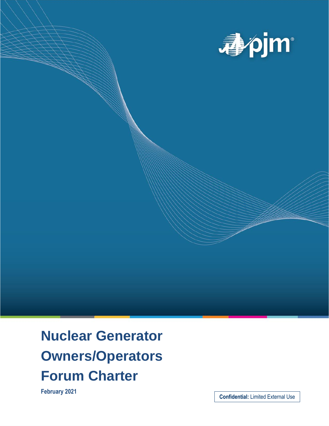<span id="page-0-0"></span>

**Nuclear Generator Owners/Operators Forum Charter**

**February 2021**

**Confidential:** Limited External Use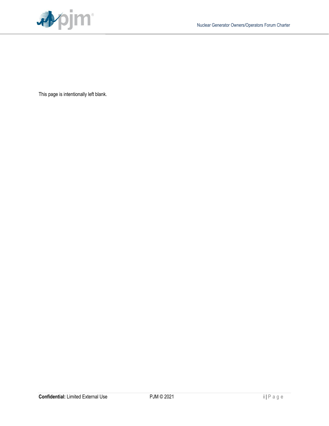

This page is intentionally left blank.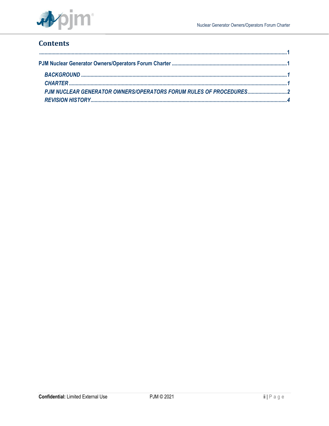

# **Contents**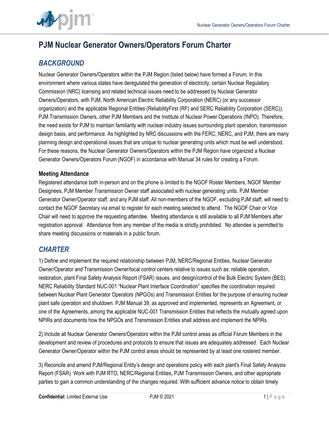

# <span id="page-3-0"></span>**PJM Nuclear Generator Owners/Operators Forum Charter**

## <span id="page-3-1"></span>*BACKGROUND*

Nuclear Generator Owners/Operators within the PJM Region (listed below) have formed a Forum. In this environment where various states have deregulated the generation of electricity, certain Nuclear Regulatory Commission (NRC) licensing and related technical issues need to be addressed by Nuclear Generator Owners/Operators, with PJM, North American Electric Reliability Corporation (NERC) (or any successor organization) and the applicable Regional Entities (ReliabilityFirst (RF) and SERC Reliability Corporation (SERC)), PJM Transmission Owners, other PJM Members and the Institute of Nuclear Power Operations (INPO). Therefore, the need exists for PJM to maintain familiarity with nuclear industry issues surrounding plant operation, transmission design basis, and performance. As highlighted by NRC discussions with the FERC, NERC, and PJM, there are many planning design and operational issues that are unique to nuclear generating units which must be well understood. For these reasons, the Nuclear Generator Owners/Operators within the PJM Region have organized a Nuclear Generator Owners/Operators Forum (NGOF) in accordance with Manual 34 rules for creating a Forum.

### **Meeting Attendance**

Registered attendance both in-person and on the phone is limited to the NGOF Roster Members, NGOF Member Designees, PJM Member Transmission Owner staff associated with nuclear generating units, PJM Member Generator Owner/Operator staff, and any PJM staff. All non-members of the NGOF, excluding PJM staff, will need to contact the NGOF Secretary via email to register for each meeting selected to attend. The NGOF Chair or Vice Chair will need to approve the requesting attendee. Meeting attendance is still available to all PJM Members after registration approval. Attendance from any member of the media is strictly prohibited. No attendee is permitted to share meeting discussions or materials in a public forum.

### <span id="page-3-2"></span>*CHARTER*

1) Define and implement the required relationship between PJM, NERC/Regional Entities, Nuclear Generator Owner/Operator and Transmission Owner/local control centers relative to issues such as: reliable operation, restoration, plant Final Safety Analysis Report (FSAR) issues, and design/control of the Bulk Electric System (BES). NERC Reliability Standard NUC-001 "Nuclear Plant Interface Coordination" specifies the coordination required between Nuclear Plant Generator Operators (NPGOs) and Transmission Entities for the purpose of ensuring nuclear plant safe operation and shutdown. PJM Manual 39, as approved and implemented, represents an Agreement, or one of the Agreements, among the applicable NUC-001 Transmission Entities that reflects the mutually agreed upon NPIRs and documents how the NPGOs and Transmission Entities shall address and implement the NPIRs.

2) Include all Nuclear Generator Owners/Operators within the PJM control areas as official Forum Members in the development and review of procedures and protocols to ensure that issues are adequately addressed. Each Nuclear Generator Owner/Operator within the PJM control areas should be represented by at least one rostered member.

3) Reconcile and amend PJM/Regional Entity's design and operations policy with each plant's Final Safety Analysis Report (FSAR). Work with PJM RTO, NERC/Regional Entities, PJM Transmission Owners, and other appropriate parties to gain a common understanding of the changes required. With sufficient advance notice to obtain timely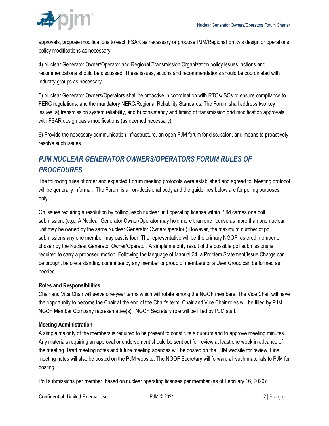

approvals, propose modifications to each FSAR as necessary or propose PJM/Regional Entity's design or operations policy modifications as necessary.

4) Nuclear Generator Owner/Operator and Regional Transmission Organization policy issues, actions and recommendations should be discussed. These issues, actions and recommendations should be coordinated with industry groups as necessary.

5) Nuclear Generator Owners/Operators shall be proactive in coordination with RTOs/ISOs to ensure compliance to FERC regulations, and the mandatory NERC/Regional Reliability Standards. The Forum shall address two key issues: a) transmission system reliability, and b) consistency and timing of transmission grid modification approvals with FSAR design basis modifications (as deemed necessary).

6) Provide the necessary communication infrastructure, an open PJM forum for discussion, and means to proactively resolve such issues.

## <span id="page-4-0"></span>*PJM NUCLEAR GENERATOR OWNERS/OPERATORS FORUM RULES OF PROCEDURES*

The following rules of order and expected Forum meeting protocols were established and agreed to: Meeting protocol will be generally informal. The Forum is a non-decisional body and the guidelines below are for polling purposes only.

On issues requiring a resolution by polling, each nuclear unit operating license within PJM carries one poll submission. (e.g., A Nuclear Generator Owner/Operator may hold more than one license as more than one nuclear unit may be owned by the same Nuclear Generator Owner/Operator.) However, the maximum number of poll submissions any one member may cast is four. The representative will be the primary NGOF rostered member or chosen by the Nuclear Generator Owner/Operator. A simple majority result of the possible poll submissions is required to carry a proposed motion. Following the language of Manual 34, a Problem Statement/Issue Charge can be brought before a standing committee by any member or group of members or a User Group can be formed as needed.

#### **Roles and Responsibilities**

Chair and Vice Chair will serve one-year terms which will rotate among the NGOF members. The Vice Chair will have the opportunity to become the Chair at the end of the Chair's term. Chair and Vice Chair roles will be filled by PJM NGOF Member Company representative(s). NGOF Secretary role will be filled by PJM staff.

#### **Meeting Administration**

A simple majority of the members is required to be present to constitute a quorum and to approve meeting minutes. Any materials requiring an approval or endorsement should be sent out for review at least one week in advance of the meeting. Draft meeting notes and future meeting agendas will be posted on the PJM website for review. Final meeting notes will also be posted on the PJM website. The NGOF Secretary will forward all such materials to PJM for posting.

Poll submissions per member, based on nuclear operating licenses per member (as of February 16, 2020):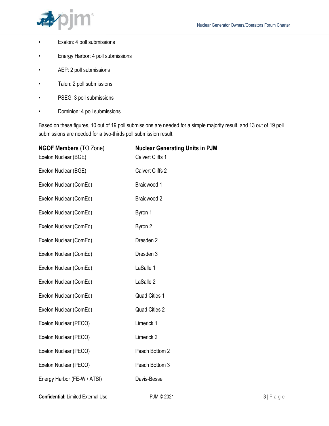

- Exelon: 4 poll submissions
- Energy Harbor: 4 poll submissions
- AEP: 2 poll submissions
- Talen: 2 poll submissions
- PSEG: 3 poll submissions
- Dominion: 4 poll submissions

Based on these figures, 10 out of 19 poll submissions are needed for a simple majority result, and 13 out of 19 poll submissions are needed for a two-thirds poll submission result.

| <b>NGOF Members (TO Zone)</b><br>Exelon Nuclear (BGE) | <b>Nuclear Generating Units in PJM</b><br><b>Calvert Cliffs 1</b> |
|-------------------------------------------------------|-------------------------------------------------------------------|
| Exelon Nuclear (BGE)                                  | <b>Calvert Cliffs 2</b>                                           |
| Exelon Nuclear (ComEd)                                | Braidwood 1                                                       |
| Exelon Nuclear (ComEd)                                | Braidwood 2                                                       |
| Exelon Nuclear (ComEd)                                | Byron 1                                                           |
| Exelon Nuclear (ComEd)                                | Byron 2                                                           |
| Exelon Nuclear (ComEd)                                | Dresden 2                                                         |
| Exelon Nuclear (ComEd)                                | Dresden 3                                                         |
| Exelon Nuclear (ComEd)                                | LaSalle 1                                                         |
| Exelon Nuclear (ComEd)                                | LaSalle 2                                                         |
| Exelon Nuclear (ComEd)                                | Quad Cities 1                                                     |
| Exelon Nuclear (ComEd)                                | Quad Cities 2                                                     |
| Exelon Nuclear (PECO)                                 | Limerick 1                                                        |
| Exelon Nuclear (PECO)                                 | Limerick <sub>2</sub>                                             |
| Exelon Nuclear (PECO)                                 | Peach Bottom 2                                                    |
| Exelon Nuclear (PECO)                                 | Peach Bottom 3                                                    |
| Energy Harbor (FE-W / ATSI)                           | Davis-Besse                                                       |
|                                                       |                                                                   |